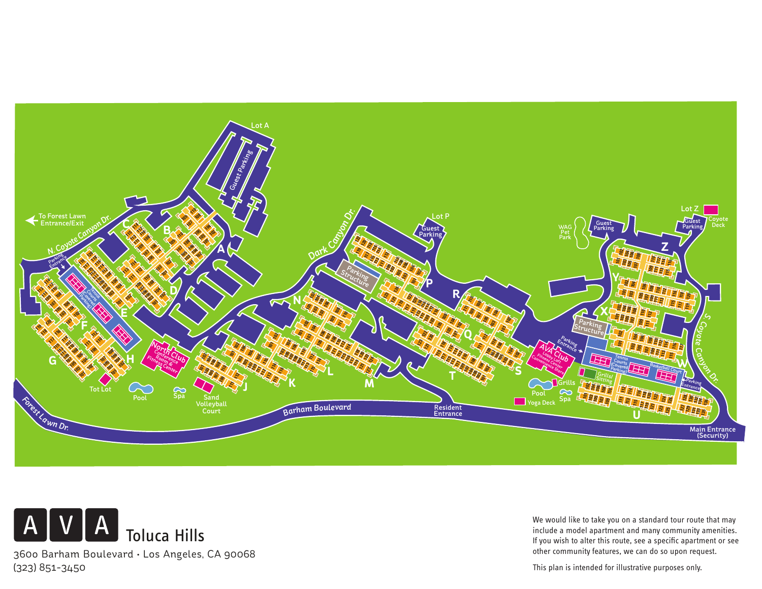



We would like to take you on a standard tour route that may include a model apartment and many community amenities. If you wish to alter this route, see a specific apartment or see other community features, we can do so upon request.

This plan is intended for illustrative purposes only.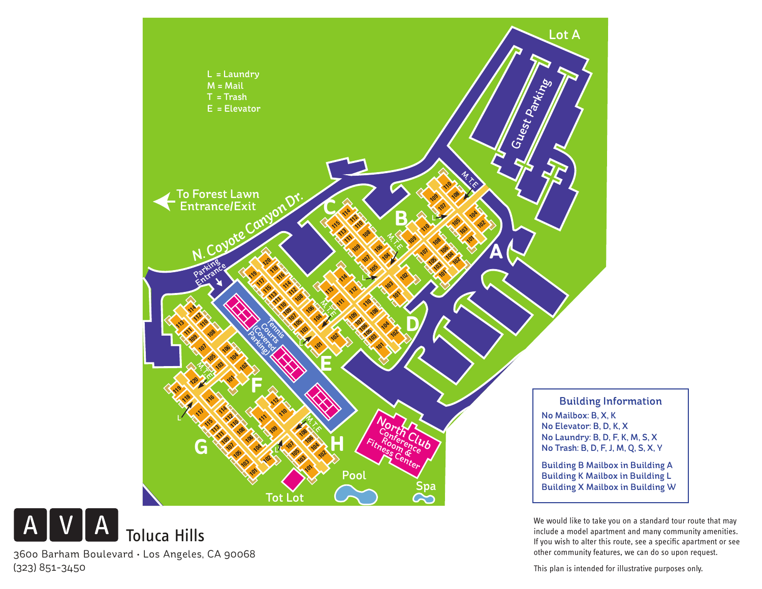

resident and the same of a summary community amenities.<br>Include a model apartment and many community amenities.<br>If you wish to alter this route, see a specific apartment or see Entrance *<sup>r</sup>ha<sup>m</sup> <sup>B</sup>oulevar<sup>d</sup>* If you wish to alter this route, see a specific apartment or see We would like to take you on a standard tour route that may other community features, we can do so upon request.

**L S**

This plan is intended for illustrative purposes only.

360o Barham Boulevard • Los Angeles, CA 90068 (323) 851-3450

 $V A$ 

 ${\sf A}$ 

Toluca Hills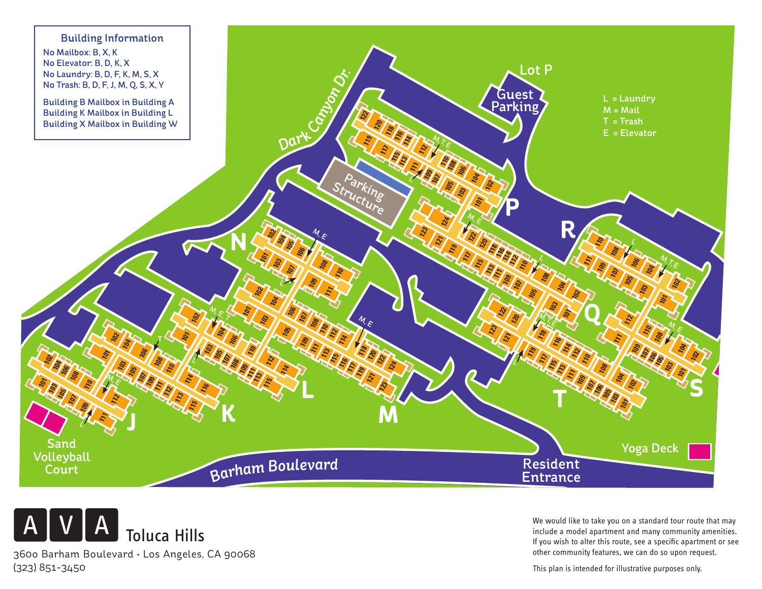



360o Barham Boulevard • Los Angeles, CA 90068 (323) 851-3450

We would like to take you on a standard tour route that may include a model apartment and many community amenities. If you wish to alter this route, see a specific apartment or see other community features, we can do so upon request.

This plan is intended for illustrative purposes only.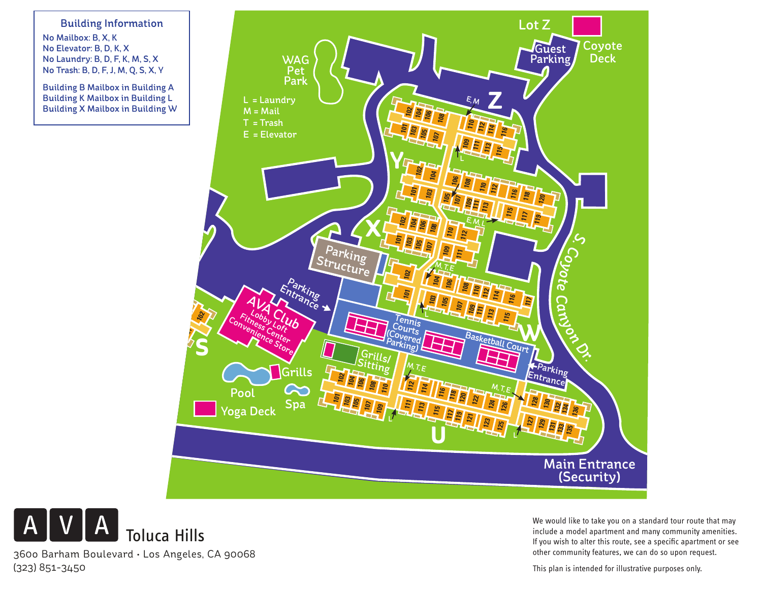Guest Parking the second second second second second second second second second second second second second second <br>Parking second second second second second second second second second second second second second second seco  $\bigcup_{k=1}^{\infty}$  No Mailbox: B, X, K Building Information No Elevator: B, D, K, X No Laundry: B, D, F, K, M, S, X No Trash: B, D, F, J, M, Q, S, X, Y

Building B Mailbox in Building A Building K Mailbox in Building L Building X Mailbox in Building W





We would like to take you on a standard tour route that may include a model apartment and many community amenities. If you wish to alter this route, see a specific apartment or see other community features, we can do so upon request.

This plan is intended for illustrative purposes only.